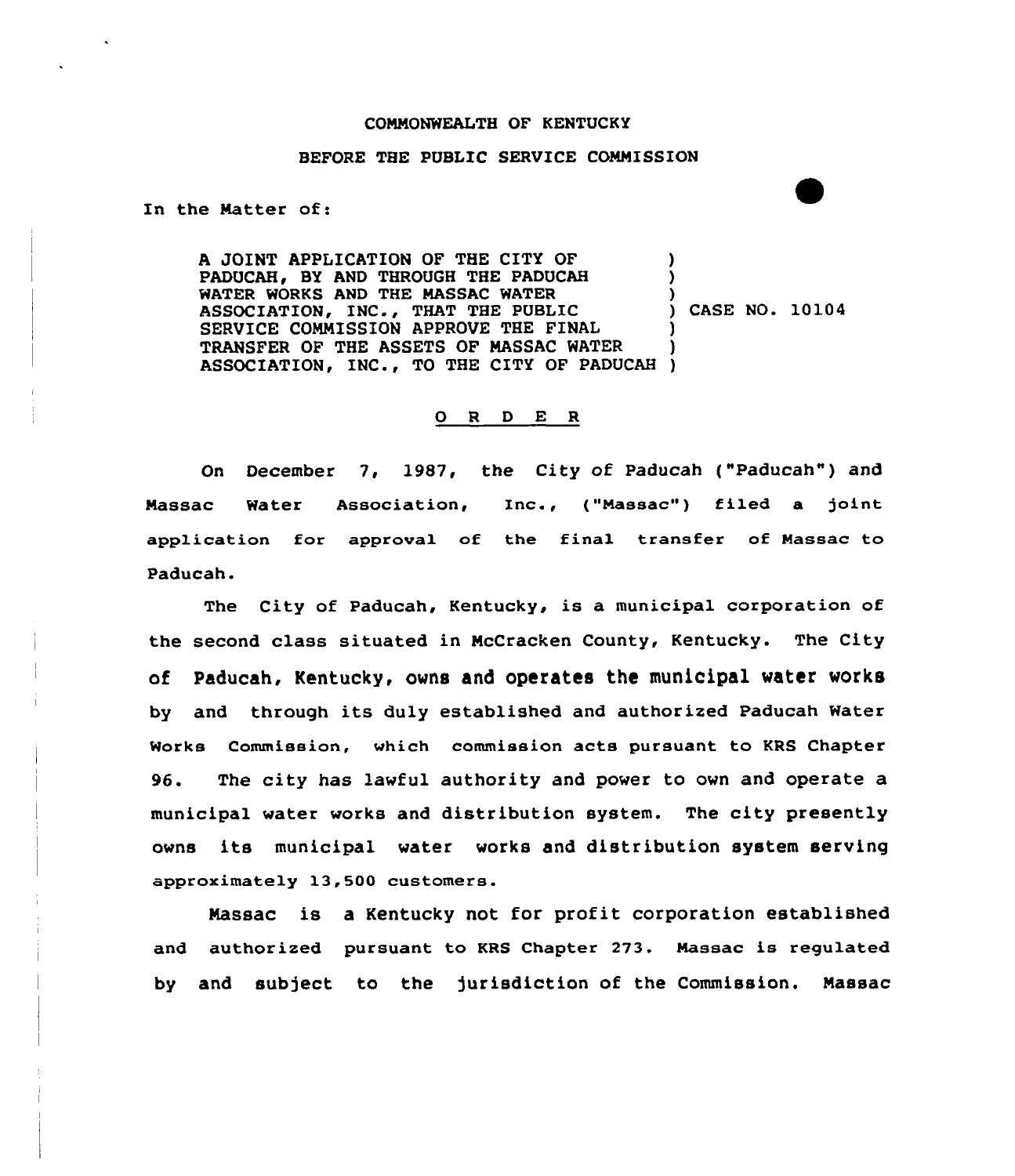## CONNONWEALTH OF KENTUCKY

## BEFORE THE PUBLIC SERVICE CONNISSION

In the Natter of:

A JOINT APPLICATION OF THE CITY OF PADUCAH, BY AND THROUGH THE PADUCAH WATER WORKS AND THE NASSAC WATER ASSOCIATION, INC., THAT THE PUBLIC SERVICE CONNISSION APPROVE THE FINAL TRANSFER OF THE ASSETS OF NASSAC WATER TRANSFER OF THE ASSETS OF MASSAC WATER (1985)<br>ASSOCIATION, INC., TO THE CITY OF PADUCAH (1985) ) ) ) ) CASE NO. 10104 ) )

## 0 <sup>R</sup> <sup>D</sup> E <sup>R</sup>

On December 7, 1987, the City of Paducah ("Paducah") and Massac Water Association, Inc., ("Massac") filed a joint application for approval of the final transfer of Nassac to Paducah.

The City of Paducah, Kentucky, is a municipal corporation of the second class situated in NcCracken County, Kentucky. The City of Paducah, Kentucky, owns and operates the municipal water works by and through its duly established and authorized Paducah Water Works Commission, which commission acts pursuant to KRS Chapter 96. The city has lawful authority and power to own and operate a municipal water works and distribution system. The city presently owns its municipal water works and distribution system serving approximately 13,500 customers.

Nassac is a Kentucky not for profit corporation established and authorized pursuant to KRS Chapter 273. Nassac is regulated by and subject to the jurisdiction of the Commission. Massac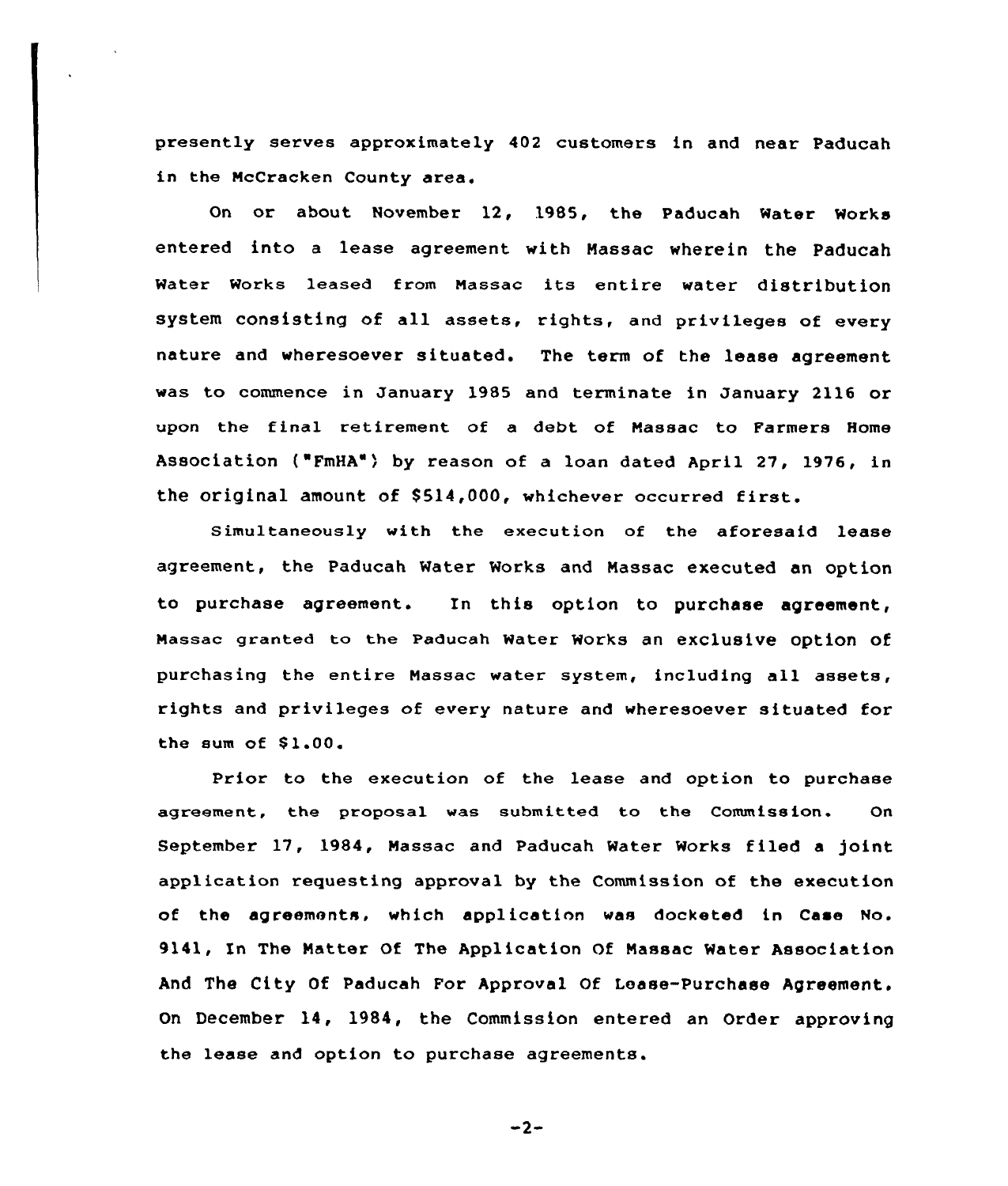presently serves approximately 402 customers in and near Paducah in the NcCracken County area.

On or about November 12, 19B5, the Paducah Water Works entered into a lease agreement with Nassac wherein the Paducah water works leased from Nassac its entire water distribution system consisting of all assets, rights, and privileges of every nature and wheresoever situated. The term of the lease agreement was to commence in January 1985 and terminate in January 2116 or upon the final retirement of a debt of Nassac to Farmers Home Association ("FmHA") by reason of a loan dated April 27, 1976, in the original amount of \$514,000, whichever occurred first.

Simultaneously with the execution of the aforesaid lease agreement, the Paducah Water Works and Nassac executed an option to purchase agreement. In this option to purchase agreement, Nassac granted to the Paducah water works an exclusive option of purchasing the entire Nassac water system, including all assets, rights and privileges of every nature and wheresoever situated for the sum of  $$1.00.$ 

Prior to the execution of the lease and option to purchase agreement, the proposal was submitted to the Commission. On September 17, 1984, Massac and Paducah Water Works filed a joint application requesting apprcval by the Commission of the execution of the agreements. which application was docketed in Case No. 9141, Xn The Natter Of The Application Of Nassac Water Association And The City Of Paducah For Approval Of Lease-Purchase Agreement. On December 14, 1984, the Commission entered an Order approving the lease and option to purchase agreements.

 $-2-$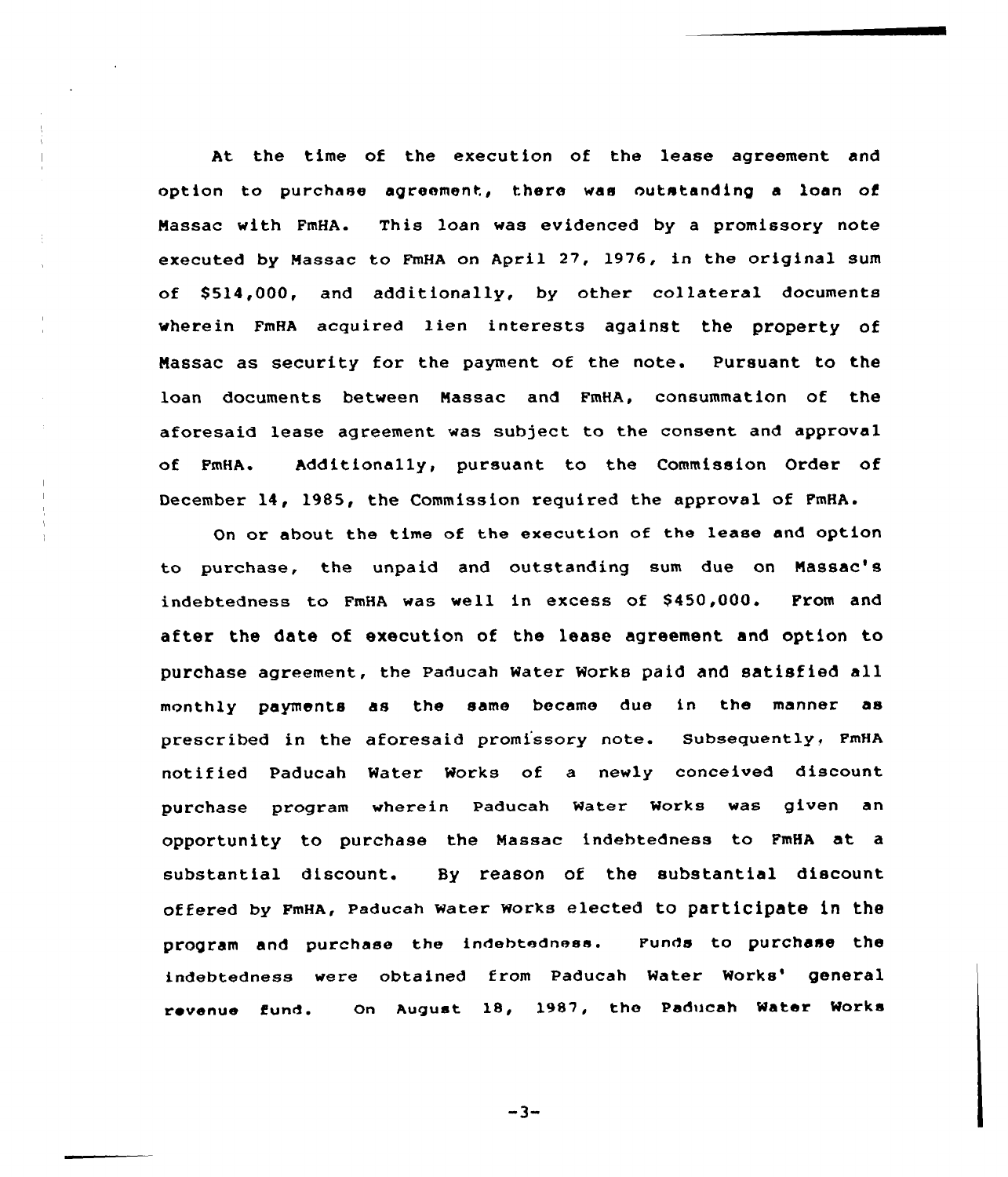At the time of the execution of the lease agreement and option to purchase agreement, there vas outstanding a loan of Nassac with FmHA. This loan was evidenced by a promissory note executed by Massac to FmHA on April 27, 1976, in the original sum of \$ 514,000, and additionally, by other collateral documents vherein FmRA acquired lien interests against the property of Nassac as security for the payment of the note. Pursuant to the loan documents between Nassac and FmHA, consummation of the aforesaid lease agreement was subject to the consent and approval of FmHA. Additionally, pursuant to the Commission Order of December 14, 1985, the Commission required the approval of FmHA.

÷

On or about the time of the execution of the lease and option to purchase, the unpaid and outstanding sum due on Nassac's indebtedness to FmHA was well in excess of \$450,000. From and after the date of execution of the lease agreement and option to purchase agreement, the Paducah water works paid and satisfied all monthly payments as the same became due in the manner as prescribed in the aforesaid promissory note. Subsequently, FmHA notified Paducah Water Works of a newly conceived discount purchase program wherein Paducah water works was given an opportunity to purchase the Nassac indebtedness to FmHA at, a substantial discount. By reason of the substantial discount offered by FmHA, paducah water works elected to participate in the program and purchase the indebtednesa. Funds to purchase the indebtedness were obtained from Paducah Water Works' general revenue fund. On August 18, )987, the Paducah Water Works

 $-3-$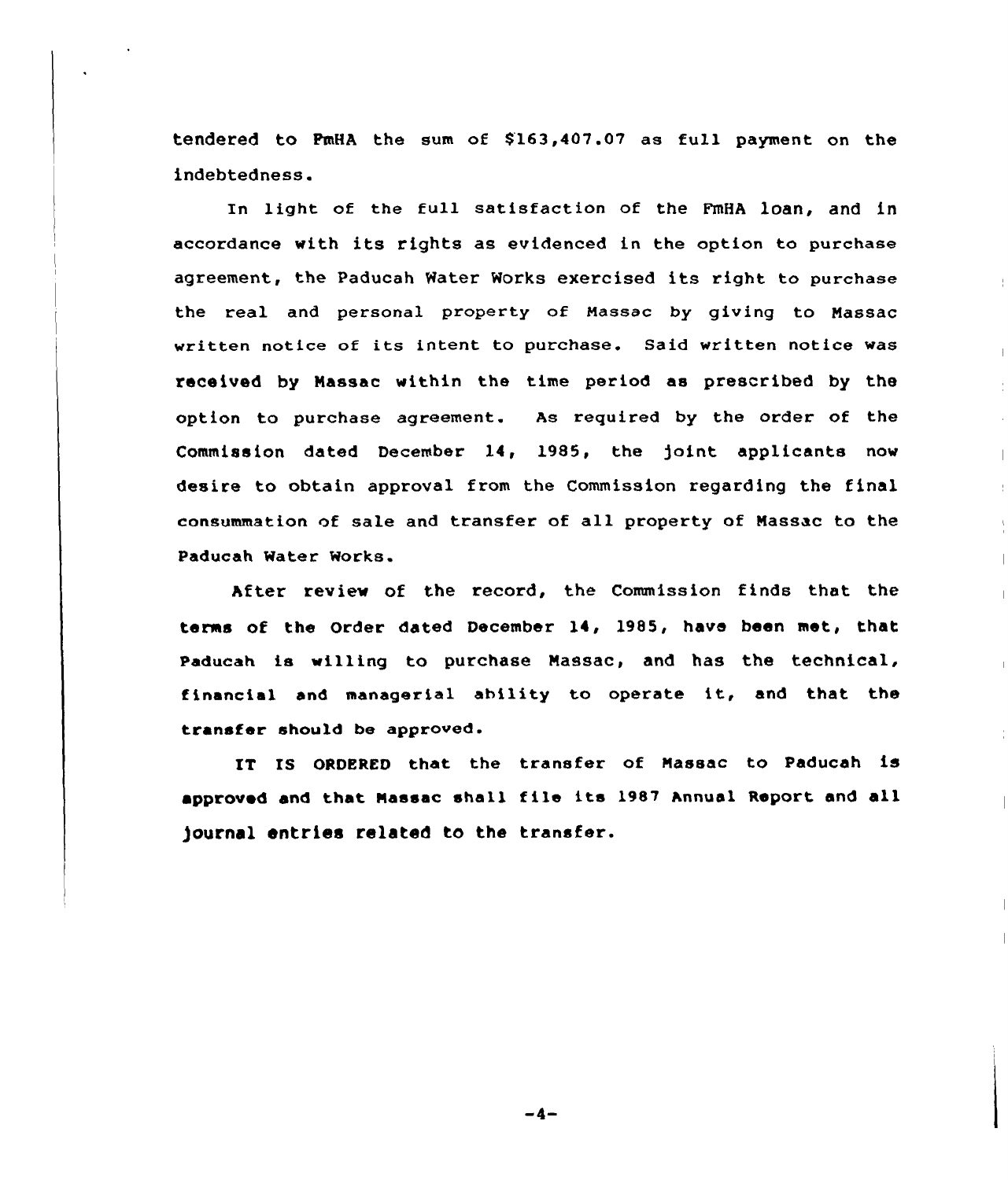tendered to FmHA the sum of \$'163,4Q7.07 as full payment on the indebtedness.

In light of the full satisfaction of the PmHA loan, and in accordance with its rights as evidenced in the option to purchase agreement, the Paducah Water Works exercised its right to purchase the real and personal property of Massac by giving to Massac written notice of its intent to purchase. Said written notice was received by Nassac within the time period as prescribed by the option to purchase agreement. As required by the order of the Commission dated December 14, 19S5, the ]oint applicants now desire to obtain appxoval from the Commission xegarding the final consummation of sale and transfer of all property of Massac to the Paducah Water Works.

After review of the record, the Commission finds that the terms of the Order dated Decembex 14, 1985, have been met, that Paducah is willing to purchase Massac, and has the technical, financial and managerial ability to operate it, and that the transfer should be approved.

IT IS ORDERED that the transfex of Massac to Paducah is approved and that Massac shall file its 1987 Annual Report and all )ournal entries related to the transfer.

-4-